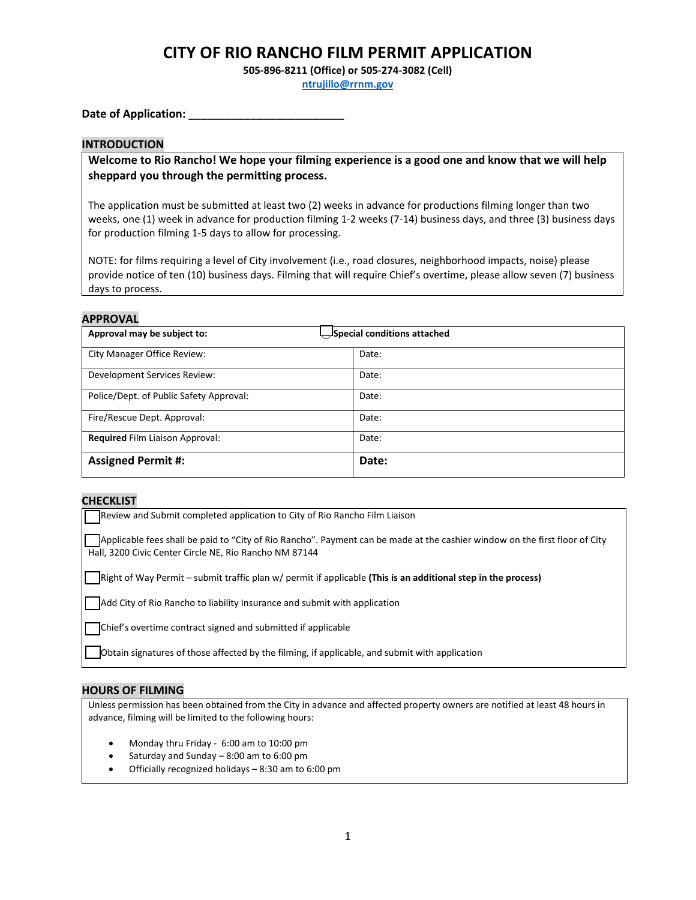**505-896-8211 (Office) or 505-274-3082 (Cell)**

**[ntrujillo@rrnm.gov](mailto:ntrujillo@rrnm.gov)**

Date of Application:

### **INTRODUCTION**

**Welcome to Rio Rancho! We hope your filming experience is a good one and know that we will help sheppard you through the permitting process.** 

The application must be submitted at least two (2) weeks in advance for productions filming longer than two weeks, one (1) week in advance for production filming 1-2 weeks (7-14) business days, and three (3) business days for production filming 1-5 days to allow for processing.

NOTE: for films requiring a level of City involvement (i.e., road closures, neighborhood impacts, noise) please provide notice of ten (10) business days. Filming that will require Chief's overtime, please allow seven (7) business days to process.

### **APPROVAL**

| Special conditions attached<br>Approval may be subject to: |       |  |
|------------------------------------------------------------|-------|--|
| City Manager Office Review:                                | Date: |  |
| Development Services Review:                               | Date: |  |
| Police/Dept. of Public Safety Approval:                    | Date: |  |
| Fire/Rescue Dept. Approval:                                | Date: |  |
| Required Film Liaison Approval:                            | Date: |  |
| <b>Assigned Permit #:</b>                                  | Date: |  |

### **CHECKLIST**

⃝ Review and Submit completed application to City of Rio Rancho Film Liaison Applicable fees shall be paid to "City of Rio Rancho". Payment can be made at the cashier window on the first floor of City Hall, 3200 Civic Center Circle NE, Rio Rancho NM 87144 ⃝ Right of Way Permit – submit traffic plan w/ permit if applicable **(This is an additional step in the process)**

Add City of Rio Rancho to liability Insurance and submit with application

⃝ Chief's overtime contract signed and submitted if applicable

⃝ Obtain signatures of those affected by the filming, if applicable, and submit with application

### **HOURS OF FILMING**

Unless permission has been obtained from the City in advance and affected property owners are notified at least 48 hours in advance, filming will be limited to the following hours:

- Monday thru Friday 6:00 am to 10:00 pm
- Saturday and Sunday  $-8:00$  am to  $6:00$  pm
- Officially recognized holidays 8:30 am to 6:00 pm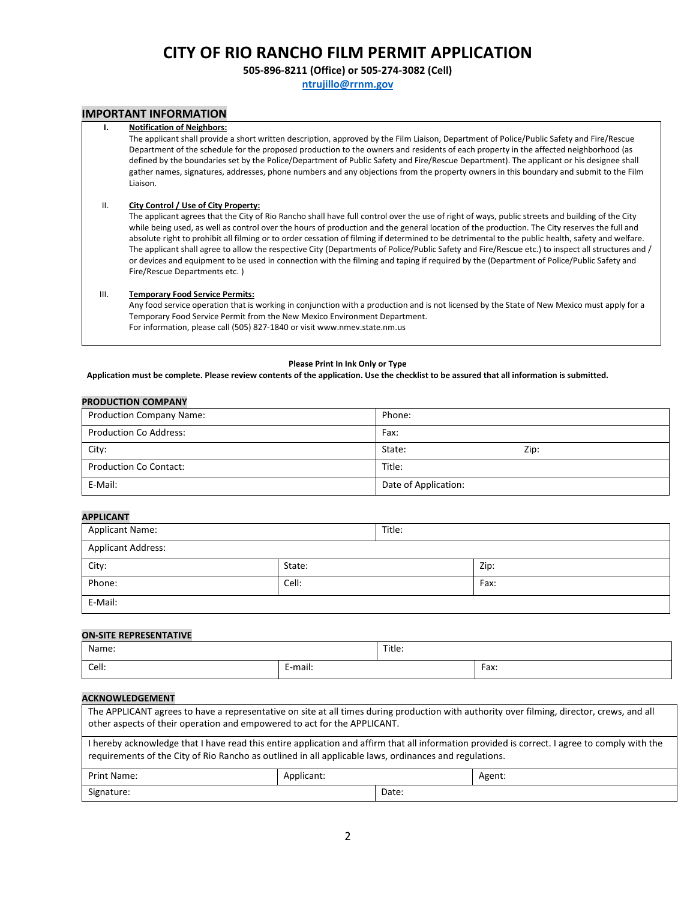**505-896-8211 (Office) or 505-274-3082 (Cell)**

**[ntrujillo@rrnm.gov](mailto:ntrujillo@rrnm.gov)**

### **IMPORTANT INFORMATION**

#### **I. Notification of Neighbors:**

The applicant shall provide a short written description, approved by the Film Liaison, Department of Police/Public Safety and Fire/Rescue Department of the schedule for the proposed production to the owners and residents of each property in the affected neighborhood (as defined by the boundaries set by the Police/Department of Public Safety and Fire/Rescue Department). The applicant or his designee shall gather names, signatures, addresses, phone numbers and any objections from the property owners in this boundary and submit to the Film Liaison.

#### II. **City Control / Use of City Property:**

The applicant agrees that the City of Rio Rancho shall have full control over the use of right of ways, public streets and building of the City while being used, as well as control over the hours of production and the general location of the production. The City reserves the full and absolute right to prohibit all filming or to order cessation of filming if determined to be detrimental to the public health, safety and welfare. The applicant shall agree to allow the respective City (Departments of Police/Public Safety and Fire/Rescue etc.) to inspect all structures and / or devices and equipment to be used in connection with the filming and taping if required by the (Department of Police/Public Safety and Fire/Rescue Departments etc. )

#### III. **Temporary Food Service Permits:**

Any food service operation that is working in conjunction with a production and is not licensed by the State of New Mexico must apply for a Temporary Food Service Permit from the New Mexico Environment Department. For information, please call (505) 827-1840 or visit www.nmev.state.nm.us

#### **Please Print In Ink Only or Type**

#### **Application must be complete. Please review contents of the application. Use the checklist to be assured that all information is submitted.**

| <b>PRODUCTION COMPANY</b>       |                      |
|---------------------------------|----------------------|
| <b>Production Company Name:</b> | Phone:               |
| <b>Production Co Address:</b>   | Fax:                 |
| City:                           | State:<br>Zip:       |
| <b>Production Co Contact:</b>   | Title:               |
| E-Mail:                         | Date of Application: |

#### **APPLICANT**

| .                  |        |        |      |
|--------------------|--------|--------|------|
| Applicant Name:    |        | Title: |      |
| Applicant Address: |        |        |      |
| City:              | State: |        | Zip: |
| Phone:             | Cell:  |        | Fax: |
| E-Mail:            |        |        |      |

#### **ON-SITE REPRESENTATIVE**

**PRODUCTION COMPANY**

| Name: |                                                  | Title: |      |
|-------|--------------------------------------------------|--------|------|
| Cell: | $\cdot$ .<br>$\overline{\phantom{0}}$<br>E-mail: |        | Fax: |

#### **ACKNOWLEDGEMENT**

| The APPLICANT agrees to have a representative on site at all times during production with authority over filming, director, crews, and all<br>other aspects of their operation and empowered to act for the APPLICANT.                                  |            |       |        |
|---------------------------------------------------------------------------------------------------------------------------------------------------------------------------------------------------------------------------------------------------------|------------|-------|--------|
| I hereby acknowledge that I have read this entire application and affirm that all information provided is correct. I agree to comply with the<br>requirements of the City of Rio Rancho as outlined in all applicable laws, ordinances and regulations. |            |       |        |
| Print Name:                                                                                                                                                                                                                                             | Applicant: |       | Agent: |
| Signature:                                                                                                                                                                                                                                              |            | Date: |        |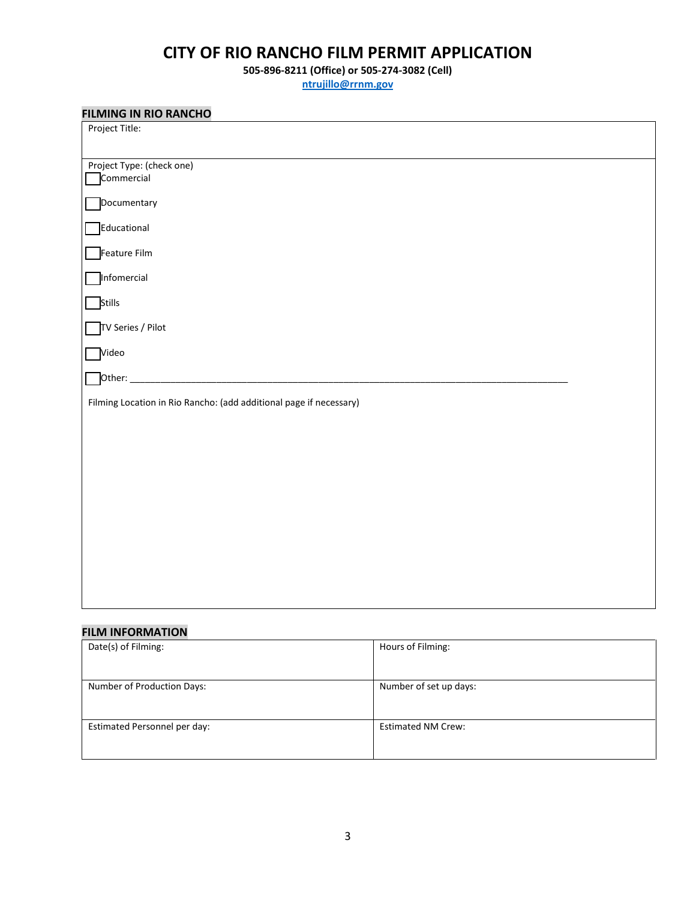**505-896-8211 (Office) or 505-274-3082 (Cell)**

**[ntrujillo@rrnm.gov](mailto:ntrujillo@rrnm.gov)**

| <b>FILMING IN RIO RANCHO</b>                                       |
|--------------------------------------------------------------------|
| Project Title:                                                     |
|                                                                    |
| Project Type: (check one)                                          |
| Commercial                                                         |
| Documentary                                                        |
| <b>Educational</b>                                                 |
| Feature Film                                                       |
| Infomercial                                                        |
| Stills                                                             |
| TV Series / Pilot                                                  |
| Video                                                              |
| Other:                                                             |
| Filming Location in Rio Rancho: (add additional page if necessary) |
|                                                                    |
|                                                                    |
|                                                                    |
|                                                                    |
|                                                                    |
|                                                                    |
|                                                                    |
|                                                                    |
|                                                                    |
|                                                                    |
|                                                                    |
|                                                                    |

## **FILM INFORMATION**

| Date(s) of Filming:          | Hours of Filming:         |
|------------------------------|---------------------------|
| Number of Production Days:   | Number of set up days:    |
| Estimated Personnel per day: | <b>Estimated NM Crew:</b> |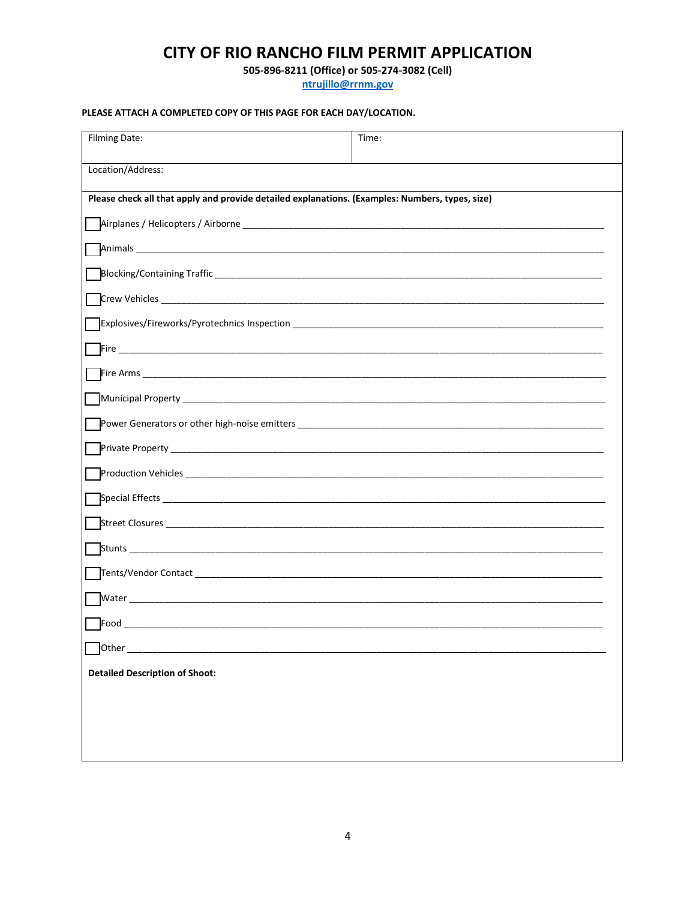505-896-8211 (Office) or 505-274-3082 (Cell)

ntrujillo@rrnm.gov

## PLEASE ATTACH A COMPLETED COPY OF THIS PAGE FOR EACH DAY/LOCATION.

| <b>Filming Date:</b>                                                                            | Time: |  |  |
|-------------------------------------------------------------------------------------------------|-------|--|--|
| Location/Address:                                                                               |       |  |  |
| Please check all that apply and provide detailed explanations. (Examples: Numbers, types, size) |       |  |  |
|                                                                                                 |       |  |  |
|                                                                                                 |       |  |  |
|                                                                                                 |       |  |  |
|                                                                                                 |       |  |  |
|                                                                                                 |       |  |  |
|                                                                                                 |       |  |  |
|                                                                                                 |       |  |  |
|                                                                                                 |       |  |  |
|                                                                                                 |       |  |  |
|                                                                                                 |       |  |  |
|                                                                                                 |       |  |  |
|                                                                                                 |       |  |  |
|                                                                                                 |       |  |  |
|                                                                                                 |       |  |  |
|                                                                                                 |       |  |  |
|                                                                                                 |       |  |  |
|                                                                                                 |       |  |  |
| Other                                                                                           |       |  |  |
| <b>Detailed Description of Shoot:</b>                                                           |       |  |  |
|                                                                                                 |       |  |  |
|                                                                                                 |       |  |  |
|                                                                                                 |       |  |  |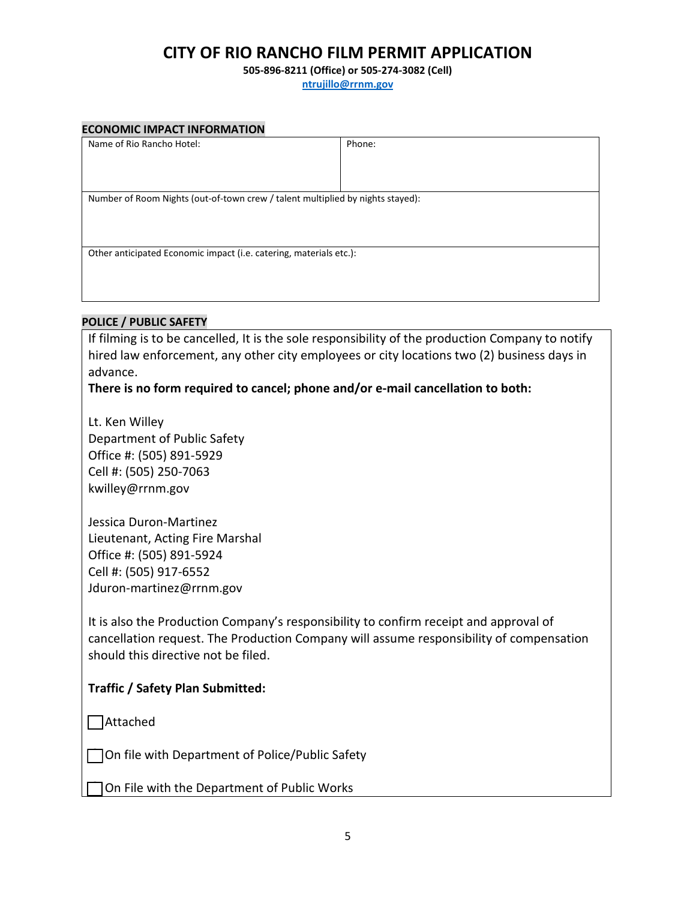**505-896-8211 (Office) or 505-274-3082 (Cell)**

**[ntrujillo@rrnm.gov](mailto:ntrujillo@rrnm.gov)**

| <b>ECONOMIC IMPACT INFORMATION</b>                                             |        |  |  |
|--------------------------------------------------------------------------------|--------|--|--|
| Name of Rio Rancho Hotel:                                                      | Phone: |  |  |
|                                                                                |        |  |  |
|                                                                                |        |  |  |
|                                                                                |        |  |  |
| Number of Room Nights (out-of-town crew / talent multiplied by nights stayed): |        |  |  |
|                                                                                |        |  |  |
|                                                                                |        |  |  |
|                                                                                |        |  |  |
| Other anticipated Economic impact (i.e. catering, materials etc.):             |        |  |  |
|                                                                                |        |  |  |
|                                                                                |        |  |  |
|                                                                                |        |  |  |

## **POLICE / PUBLIC SAFETY**

If filming is to be cancelled, It is the sole responsibility of the production Company to notify hired law enforcement, any other city employees or city locations two (2) business days in advance.

## **There is no form required to cancel; phone and/or e-mail cancellation to both:**

Lt. Ken Willey Department of Public Safety Office #: (505) 891-5929 Cell #: (505) 250-7063 kwilley@rrnm.gov

Jessica Duron-Martinez Lieutenant, Acting Fire Marshal Office #: (505) 891-5924 Cell #: (505) 917-6552 Jduron-martinez@rrnm.gov

It is also the Production Company's responsibility to confirm receipt and approval of cancellation request. The Production Company will assume responsibility of compensation should this directive not be filed.

## **Traffic / Safety Plan Submitted:**

 $\Box$ Attached

 $\Box$  On file with Department of Police/Public Safety

⃝ On File with the Department of Public Works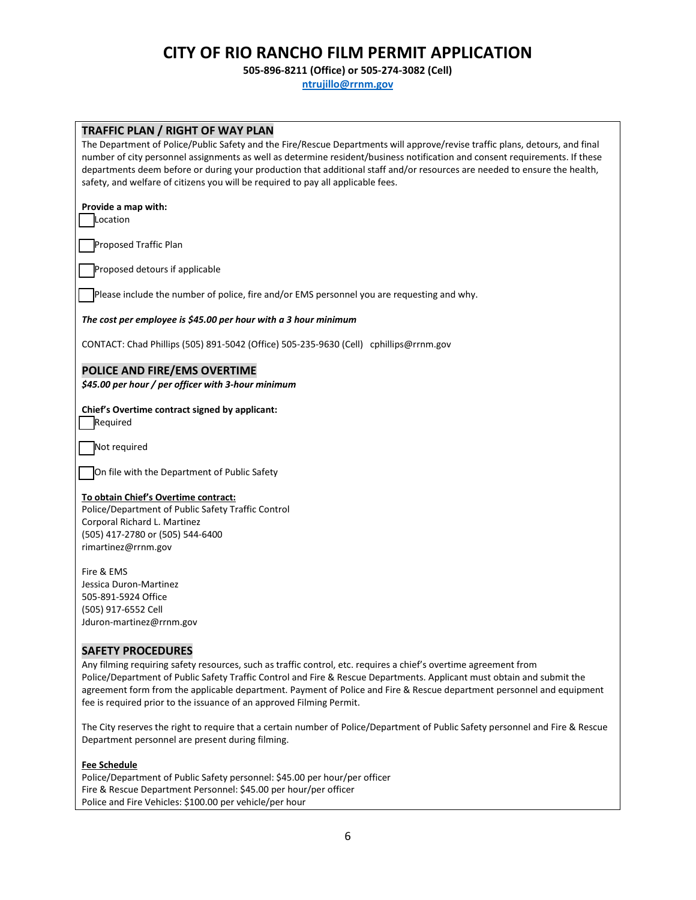**505-896-8211 (Office) or 505-274-3082 (Cell)**

**[ntrujillo@rrnm.gov](mailto:ntrujillo@rrnm.gov)**

| <b>TRAFFIC PLAN / RIGHT OF WAY PLAN</b><br>The Department of Police/Public Safety and the Fire/Rescue Departments will approve/revise traffic plans, detours, and final<br>number of city personnel assignments as well as determine resident/business notification and consent requirements. If these<br>departments deem before or during your production that additional staff and/or resources are needed to ensure the health,<br>safety, and welfare of citizens you will be required to pay all applicable fees. |
|-------------------------------------------------------------------------------------------------------------------------------------------------------------------------------------------------------------------------------------------------------------------------------------------------------------------------------------------------------------------------------------------------------------------------------------------------------------------------------------------------------------------------|
| Provide a map with:<br>Location                                                                                                                                                                                                                                                                                                                                                                                                                                                                                         |
| Proposed Traffic Plan                                                                                                                                                                                                                                                                                                                                                                                                                                                                                                   |
| Proposed detours if applicable                                                                                                                                                                                                                                                                                                                                                                                                                                                                                          |
| Please include the number of police, fire and/or EMS personnel you are requesting and why.                                                                                                                                                                                                                                                                                                                                                                                                                              |
| The cost per employee is \$45.00 per hour with a 3 hour minimum                                                                                                                                                                                                                                                                                                                                                                                                                                                         |
| CONTACT: Chad Phillips (505) 891-5042 (Office) 505-235-9630 (Cell) cphillips@rrnm.gov                                                                                                                                                                                                                                                                                                                                                                                                                                   |
| POLICE AND FIRE/EMS OVERTIME<br>\$45.00 per hour / per officer with 3-hour minimum                                                                                                                                                                                                                                                                                                                                                                                                                                      |
| Chief's Overtime contract signed by applicant:<br>Required                                                                                                                                                                                                                                                                                                                                                                                                                                                              |
| Not required                                                                                                                                                                                                                                                                                                                                                                                                                                                                                                            |
| On file with the Department of Public Safety                                                                                                                                                                                                                                                                                                                                                                                                                                                                            |
| To obtain Chief's Overtime contract:<br>Police/Department of Public Safety Traffic Control<br>Corporal Richard L. Martinez<br>(505) 417-2780 or (505) 544-6400<br>rimartinez@rrnm.gov                                                                                                                                                                                                                                                                                                                                   |
| Fire & EMS<br>Jessica Duron-Martinez<br>505-891-5924 Office<br>(505) 917-6552 Cell<br>Jduron-martinez@rrnm.gov                                                                                                                                                                                                                                                                                                                                                                                                          |
| <b>SAFETY PROCEDURES</b><br>Any filming requiring safety resources, such as traffic control, etc. requires a chief's overtime agreement from<br>Police/Department of Public Safety Traffic Control and Fire & Rescue Departments. Applicant must obtain and submit the<br>agreement form from the applicable department. Payment of Police and Fire & Rescue department personnel and equipment<br>fee is required prior to the issuance of an approved Filming Permit.                                                 |
| The City reserves the right to require that a certain number of Police/Department of Public Safety personnel and Fire & Rescue<br>Department personnel are present during filming.                                                                                                                                                                                                                                                                                                                                      |

**Fee Schedule**

Police/Department of Public Safety personnel: \$45.00 per hour/per officer Fire & Rescue Department Personnel: \$45.00 per hour/per officer Police and Fire Vehicles: \$100.00 per vehicle/per hour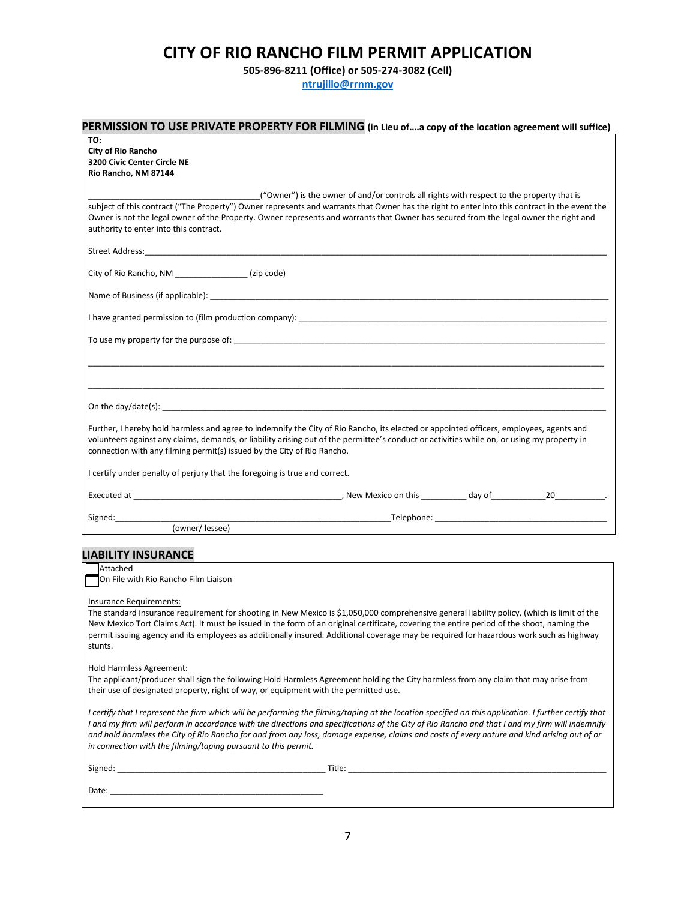**505-896-8211 (Office) or 505-274-3082 (Cell)**

**[ntrujillo@rrnm.gov](mailto:ntrujillo@rrnm.gov)**

| PERMISSION TO USE PRIVATE PROPERTY FOR FILMING (in Lieu ofa copy of the location agreement will suffice)                                                                                                                                                                                                                                                                                                                                                                                                                  |  |
|---------------------------------------------------------------------------------------------------------------------------------------------------------------------------------------------------------------------------------------------------------------------------------------------------------------------------------------------------------------------------------------------------------------------------------------------------------------------------------------------------------------------------|--|
| TO:<br><b>City of Rio Rancho</b><br>3200 Civic Center Circle NE<br>Rio Rancho, NM 87144                                                                                                                                                                                                                                                                                                                                                                                                                                   |  |
| ("Owner") is the owner of and/or controls all rights with respect to the property that is<br>subject of this contract ("The Property") Owner represents and warrants that Owner has the right to enter into this contract in the event the<br>Owner is not the legal owner of the Property. Owner represents and warrants that Owner has secured from the legal owner the right and<br>authority to enter into this contract.                                                                                             |  |
|                                                                                                                                                                                                                                                                                                                                                                                                                                                                                                                           |  |
| City of Rio Rancho, NM _________________(zip code)                                                                                                                                                                                                                                                                                                                                                                                                                                                                        |  |
|                                                                                                                                                                                                                                                                                                                                                                                                                                                                                                                           |  |
|                                                                                                                                                                                                                                                                                                                                                                                                                                                                                                                           |  |
| To use my property for the purpose of: The state of the state of the state of the state of the state of the state of the state of the state of the state of the state of the state of the state of the state of the state of t                                                                                                                                                                                                                                                                                            |  |
|                                                                                                                                                                                                                                                                                                                                                                                                                                                                                                                           |  |
|                                                                                                                                                                                                                                                                                                                                                                                                                                                                                                                           |  |
|                                                                                                                                                                                                                                                                                                                                                                                                                                                                                                                           |  |
| Further, I hereby hold harmless and agree to indemnify the City of Rio Rancho, its elected or appointed officers, employees, agents and<br>volunteers against any claims, demands, or liability arising out of the permittee's conduct or activities while on, or using my property in<br>connection with any filming permit(s) issued by the City of Rio Rancho.                                                                                                                                                         |  |
| I certify under penalty of perjury that the foregoing is true and correct.                                                                                                                                                                                                                                                                                                                                                                                                                                                |  |
|                                                                                                                                                                                                                                                                                                                                                                                                                                                                                                                           |  |
|                                                                                                                                                                                                                                                                                                                                                                                                                                                                                                                           |  |
|                                                                                                                                                                                                                                                                                                                                                                                                                                                                                                                           |  |
| <b>LIABILITY INSURANCE</b>                                                                                                                                                                                                                                                                                                                                                                                                                                                                                                |  |
| Attached<br>On File with Rio Rancho Film Liaison                                                                                                                                                                                                                                                                                                                                                                                                                                                                          |  |
| Insurance Requirements:<br>The standard insurance requirement for shooting in New Mexico is \$1,050,000 comprehensive general liability policy, (which is limit of the<br>New Mexico Tort Claims Act). It must be issued in the form of an original certificate, covering the entire period of the shoot, naming the<br>permit issuing agency and its employees as additionally insured. Additional coverage may be required for hazardous work such as highway<br>stunts.                                                |  |
| <b>Hold Harmless Agreement:</b><br>The applicant/producer shall sign the following Hold Harmless Agreement holding the City harmless from any claim that may arise from<br>their use of designated property, right of way, or equipment with the permitted use.                                                                                                                                                                                                                                                           |  |
| I certify that I represent the firm which will be performing the filming/taping at the location specified on this application. I further certify that<br>I and my firm will perform in accordance with the directions and specifications of the City of Rio Rancho and that I and my firm will indemnify<br>and hold harmless the City of Rio Rancho for and from any loss, damage expense, claims and costs of every nature and kind arising out of or<br>in connection with the filming/taping pursuant to this permit. |  |
|                                                                                                                                                                                                                                                                                                                                                                                                                                                                                                                           |  |
|                                                                                                                                                                                                                                                                                                                                                                                                                                                                                                                           |  |
|                                                                                                                                                                                                                                                                                                                                                                                                                                                                                                                           |  |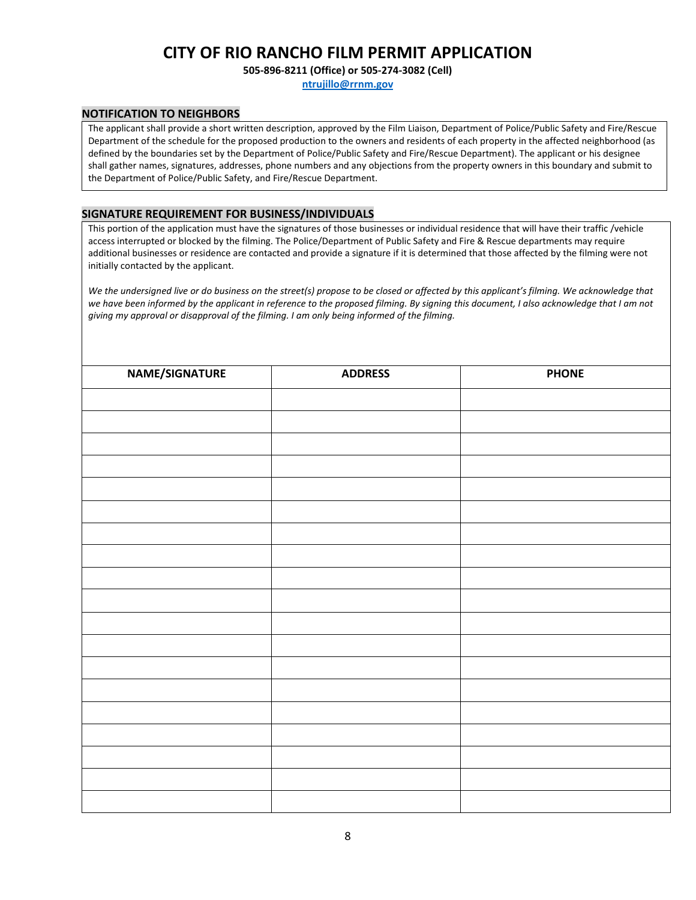**505-896-8211 (Office) or 505-274-3082 (Cell)**

**[ntrujillo@rrnm.gov](mailto:ntrujillo@rrnm.gov)**

### **NOTIFICATION TO NEIGHBORS**

The applicant shall provide a short written description, approved by the Film Liaison, Department of Police/Public Safety and Fire/Rescue Department of the schedule for the proposed production to the owners and residents of each property in the affected neighborhood (as defined by the boundaries set by the Department of Police/Public Safety and Fire/Rescue Department). The applicant or his designee shall gather names, signatures, addresses, phone numbers and any objections from the property owners in this boundary and submit to the Department of Police/Public Safety, and Fire/Rescue Department.

### **SIGNATURE REQUIREMENT FOR BUSINESS/INDIVIDUALS**

This portion of the application must have the signatures of those businesses or individual residence that will have their traffic /vehicle access interrupted or blocked by the filming. The Police/Department of Public Safety and Fire & Rescue departments may require additional businesses or residence are contacted and provide a signature if it is determined that those affected by the filming were not initially contacted by the applicant.

*We the undersigned live or do business on the street(s) propose to be closed or affected by this applicant's filming. We acknowledge that we have been informed by the applicant in reference to the proposed filming. By signing this document, I also acknowledge that I am not giving my approval or disapproval of the filming. I am only being informed of the filming.*

| NAME/SIGNATURE | <b>ADDRESS</b> | <b>PHONE</b> |
|----------------|----------------|--------------|
|                |                |              |
|                |                |              |
|                |                |              |
|                |                |              |
|                |                |              |
|                |                |              |
|                |                |              |
|                |                |              |
|                |                |              |
|                |                |              |
|                |                |              |
|                |                |              |
|                |                |              |
|                |                |              |
|                |                |              |
|                |                |              |
|                |                |              |
|                |                |              |
|                |                |              |